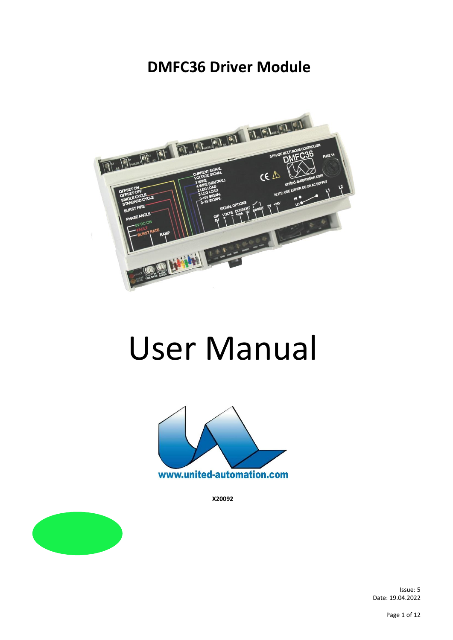# **DMFC36 Driver Module**



# User Manual



**X20092**

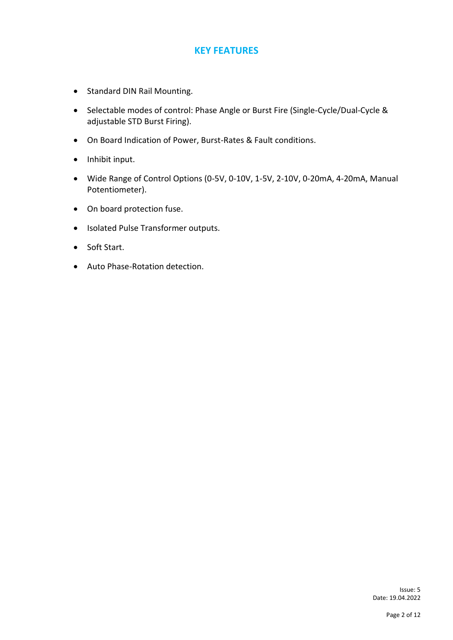#### **KEY FEATURES**

- Standard DIN Rail Mounting.
- Selectable modes of control: Phase Angle or Burst Fire (Single-Cycle/Dual-Cycle & adjustable STD Burst Firing).
- On Board Indication of Power, Burst-Rates & Fault conditions.
- Inhibit input.
- Wide Range of Control Options (0-5V, 0-10V, 1-5V, 2-10V, 0-20mA, 4-20mA, Manual Potentiometer).
- On board protection fuse.
- Isolated Pulse Transformer outputs.
- Soft Start.
- Auto Phase-Rotation detection.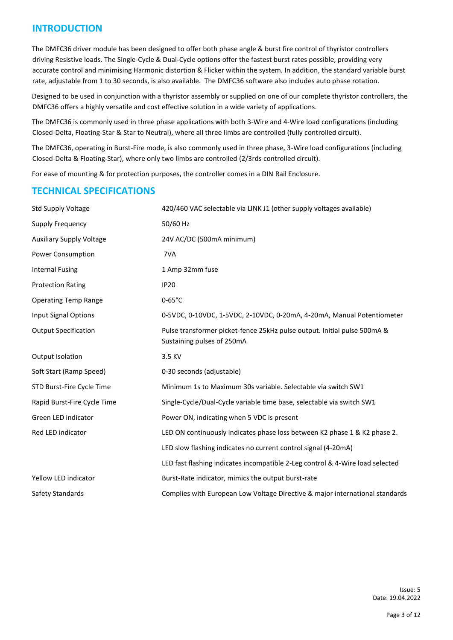#### **INTRODUCTION**

The DMFC36 driver module has been designed to offer both phase angle & burst fire control of thyristor controllers driving Resistive loads. The Single-Cycle & Dual-Cycle options offer the fastest burst rates possible, providing very accurate control and minimising Harmonic distortion & Flicker within the system. In addition, the standard variable burst rate, adjustable from 1 to 30 seconds, is also available. The DMFC36 software also includes auto phase rotation.

Designed to be used in conjunction with a thyristor assembly or supplied on one of our complete thyristor controllers, the DMFC36 offers a highly versatile and cost effective solution in a wide variety of applications.

The DMFC36 is commonly used in three phase applications with both 3-Wire and 4-Wire load configurations (including Closed-Delta, Floating-Star & Star to Neutral), where all three limbs are controlled (fully controlled circuit).

The DMFC36, operating in Burst-Fire mode, is also commonly used in three phase, 3-Wire load configurations (including Closed-Delta & Floating-Star), where only two limbs are controlled (2/3rds controlled circuit).

For ease of mounting & for protection purposes, the controller comes in a DIN Rail Enclosure.

#### **TECHNICAL SPECIFICATIONS**

| <b>Std Supply Voltage</b>       | 420/460 VAC selectable via LINK J1 (other supply voltages available)                                   |  |
|---------------------------------|--------------------------------------------------------------------------------------------------------|--|
| Supply Frequency                | 50/60 Hz                                                                                               |  |
| <b>Auxiliary Supply Voltage</b> | 24V AC/DC (500mA minimum)                                                                              |  |
| Power Consumption               | 7VA                                                                                                    |  |
| <b>Internal Fusing</b>          | 1 Amp 32mm fuse                                                                                        |  |
| <b>Protection Rating</b>        | <b>IP20</b>                                                                                            |  |
| <b>Operating Temp Range</b>     | $0-65^{\circ}$ C                                                                                       |  |
| <b>Input Signal Options</b>     | 0-5VDC, 0-10VDC, 1-5VDC, 2-10VDC, 0-20mA, 4-20mA, Manual Potentiometer                                 |  |
| <b>Output Specification</b>     | Pulse transformer picket-fence 25kHz pulse output. Initial pulse 500mA &<br>Sustaining pulses of 250mA |  |
| <b>Output Isolation</b>         | 3.5 KV                                                                                                 |  |
| Soft Start (Ramp Speed)         | 0-30 seconds (adjustable)                                                                              |  |
| STD Burst-Fire Cycle Time       | Minimum 1s to Maximum 30s variable. Selectable via switch SW1                                          |  |
| Rapid Burst-Fire Cycle Time     | Single-Cycle/Dual-Cycle variable time base, selectable via switch SW1                                  |  |
| Green LED indicator             | Power ON, indicating when 5 VDC is present                                                             |  |
| Red LED indicator               | LED ON continuously indicates phase loss between K2 phase 1 & K2 phase 2.                              |  |
|                                 | LED slow flashing indicates no current control signal (4-20mA)                                         |  |
|                                 | LED fast flashing indicates incompatible 2-Leg control & 4-Wire load selected                          |  |
| Yellow LED indicator            | Burst-Rate indicator, mimics the output burst-rate                                                     |  |
| Safety Standards                | Complies with European Low Voltage Directive & major international standards                           |  |

Issue: 5<br>Date: 19.04.2022 Date: 19.04.2022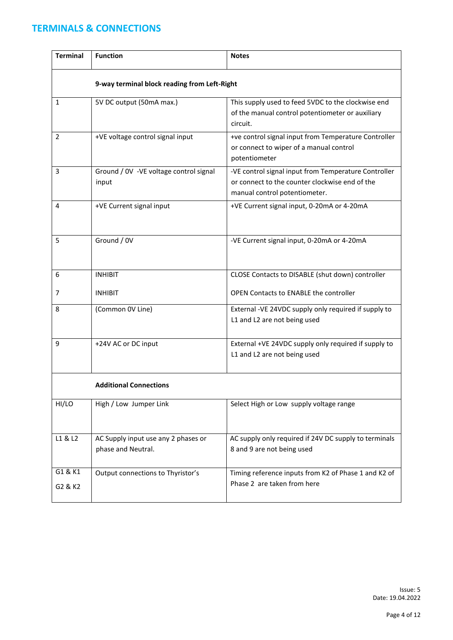# **TERMINALS & CONNECTIONS**

| <b>Terminal</b>                              | <b>Function</b>                                           | <b>Notes</b>                                                                                                                            |  |  |  |  |
|----------------------------------------------|-----------------------------------------------------------|-----------------------------------------------------------------------------------------------------------------------------------------|--|--|--|--|
| 9-way terminal block reading from Left-Right |                                                           |                                                                                                                                         |  |  |  |  |
| 1                                            | 5V DC output (50mA max.)                                  | This supply used to feed 5VDC to the clockwise end<br>of the manual control potentiometer or auxiliary<br>circuit.                      |  |  |  |  |
| 2                                            | +VE voltage control signal input                          | +ve control signal input from Temperature Controller<br>or connect to wiper of a manual control<br>potentiometer                        |  |  |  |  |
| 3                                            | Ground / 0V - VE voltage control signal<br>input          | -VE control signal input from Temperature Controller<br>or connect to the counter clockwise end of the<br>manual control potentiometer. |  |  |  |  |
| 4                                            | +VE Current signal input                                  | +VE Current signal input, 0-20mA or 4-20mA                                                                                              |  |  |  |  |
| 5                                            | Ground / 0V                                               | -VE Current signal input, 0-20mA or 4-20mA                                                                                              |  |  |  |  |
| 6                                            | <b>INHIBIT</b>                                            | CLOSE Contacts to DISABLE (shut down) controller                                                                                        |  |  |  |  |
| 7                                            | <b>INHIBIT</b>                                            | <b>OPEN Contacts to ENABLE the controller</b>                                                                                           |  |  |  |  |
| 8                                            | (Common OV Line)                                          | External -VE 24VDC supply only required if supply to<br>L1 and L2 are not being used                                                    |  |  |  |  |
| 9                                            | +24V AC or DC input                                       | External +VE 24VDC supply only required if supply to<br>L1 and L2 are not being used                                                    |  |  |  |  |
| <b>Additional Connections</b>                |                                                           |                                                                                                                                         |  |  |  |  |
| HI/LO                                        | High / Low Jumper Link                                    | Select High or Low supply voltage range                                                                                                 |  |  |  |  |
| L1 & L2                                      | AC Supply input use any 2 phases or<br>phase and Neutral. | AC supply only required if 24V DC supply to terminals<br>8 and 9 are not being used                                                     |  |  |  |  |
| G1 & K1<br>G2 & K2                           | Output connections to Thyristor's                         | Timing reference inputs from K2 of Phase 1 and K2 of<br>Phase 2 are taken from here                                                     |  |  |  |  |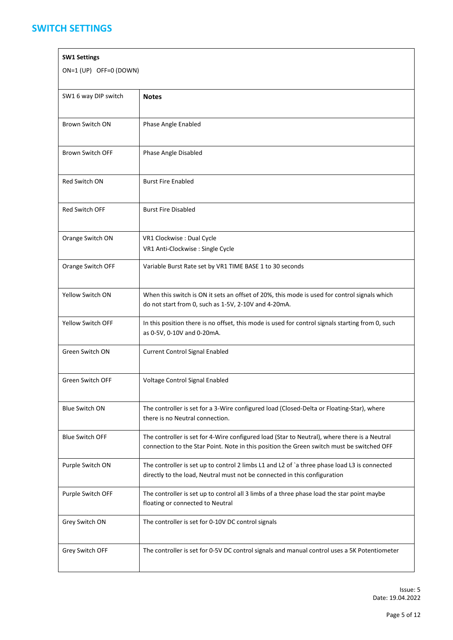#### **SWITCH SETTINGS**

| <b>SW1 Settings</b>     |                                                                                                                                                                                           |  |  |  |
|-------------------------|-------------------------------------------------------------------------------------------------------------------------------------------------------------------------------------------|--|--|--|
| ON=1 (UP) OFF=0 (DOWN)  |                                                                                                                                                                                           |  |  |  |
| SW1 6 way DIP switch    | <b>Notes</b>                                                                                                                                                                              |  |  |  |
| <b>Brown Switch ON</b>  | Phase Angle Enabled                                                                                                                                                                       |  |  |  |
| <b>Brown Switch OFF</b> | Phase Angle Disabled                                                                                                                                                                      |  |  |  |
| Red Switch ON           | <b>Burst Fire Enabled</b>                                                                                                                                                                 |  |  |  |
| Red Switch OFF          | <b>Burst Fire Disabled</b>                                                                                                                                                                |  |  |  |
| Orange Switch ON        | VR1 Clockwise : Dual Cycle<br>VR1 Anti-Clockwise : Single Cycle                                                                                                                           |  |  |  |
| Orange Switch OFF       | Variable Burst Rate set by VR1 TIME BASE 1 to 30 seconds                                                                                                                                  |  |  |  |
| Yellow Switch ON        | When this switch is ON it sets an offset of 20%, this mode is used for control signals which<br>do not start from 0, such as 1-5V, 2-10V and 4-20mA.                                      |  |  |  |
| Yellow Switch OFF       | In this position there is no offset, this mode is used for control signals starting from 0, such<br>as 0-5V, 0-10V and 0-20mA.                                                            |  |  |  |
| Green Switch ON         | <b>Current Control Signal Enabled</b>                                                                                                                                                     |  |  |  |
| <b>Green Switch OFF</b> | Voltage Control Signal Enabled                                                                                                                                                            |  |  |  |
| <b>Blue Switch ON</b>   | The controller is set for a 3-Wire configured load (Closed-Delta or Floating-Star), where<br>there is no Neutral connection.                                                              |  |  |  |
| <b>Blue Switch OFF</b>  | The controller is set for 4-Wire configured load (Star to Neutral), where there is a Neutral<br>connection to the Star Point. Note in this position the Green switch must be switched OFF |  |  |  |
| Purple Switch ON        | The controller is set up to control 2 limbs L1 and L2 of `a three phase load L3 is connected<br>directly to the load, Neutral must not be connected in this configuration                 |  |  |  |
| Purple Switch OFF       | The controller is set up to control all 3 limbs of a three phase load the star point maybe<br>floating or connected to Neutral                                                            |  |  |  |
| Grey Switch ON          | The controller is set for 0-10V DC control signals                                                                                                                                        |  |  |  |
| Grey Switch OFF         | The controller is set for 0-5V DC control signals and manual control uses a 5K Potentiometer                                                                                              |  |  |  |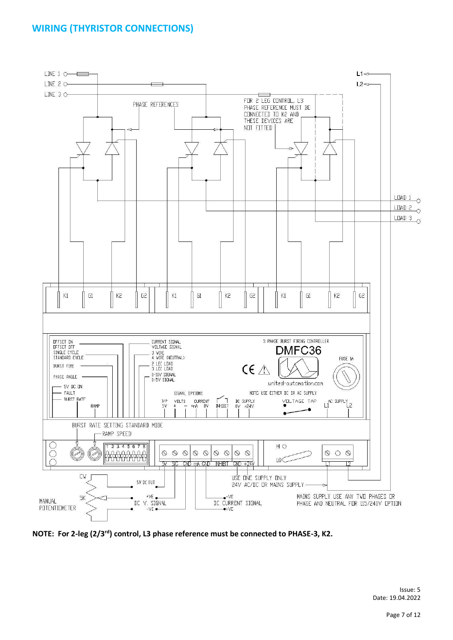# **WIRING (THYRISTOR CONNECTIONS)**



**NOTE: For 2-leg (2/3rd) control, L3 phase reference must be connected to PHASE-3, K2.**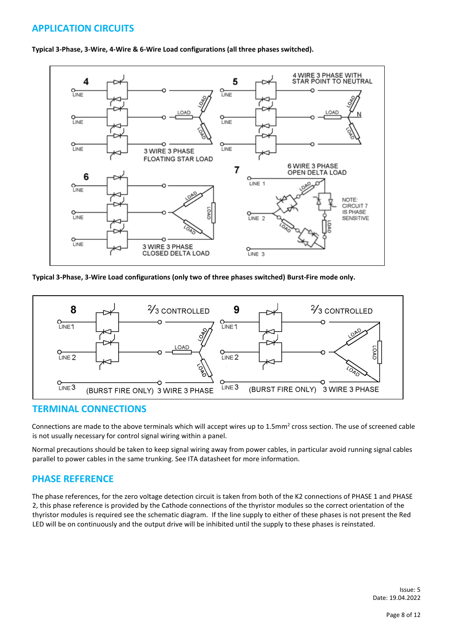# **APPLICATION CIRCUITS**



**Typical 3-Phase, 3-Wire, 4-Wire & 6-Wire Load configurations (all three phases switched).** 

**Typical 3-Phase, 3-Wire Load configurations (only two of three phases switched) Burst-Fire mode only.** 



#### **TERMINAL CONNECTIONS**

Connections are made to the above terminals which will accept wires up to 1.5mm<sup>2</sup> cross section. The use of screened cable is not usually necessary for control signal wiring within a panel.

Normal precautions should be taken to keep signal wiring away from power cables, in particular avoid running signal cables parallel to power cables in the same trunking. See ITA datasheet for more information.

#### **PHASE REFERENCE**

The phase references, for the zero voltage detection circuit is taken from both of the K2 connections of PHASE 1 and PHASE 2, this phase reference is provided by the Cathode connections of the thyristor modules so the correct orientation of the thyristor modules is required see the schematic diagram. If the line supply to either of these phases is not present the Red LED will be on continuously and the output drive will be inhibited until the supply to these phases is reinstated.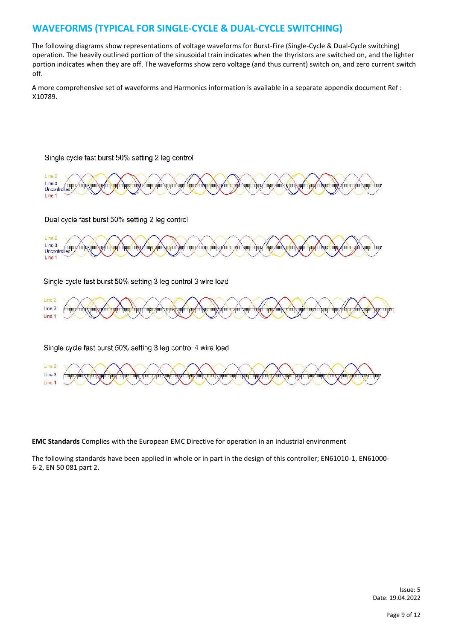### **WAVEFORMS (TYPICAL FOR SINGLE-CYCLE & DUAL-CYCLE SWITCHING)**

The following diagrams show representations of voltage waveforms for Burst-Fire (Single-Cycle & Dual-Cycle switching) operation. The heavily outlined portion of the sinusoidal train indicates when the thyristors are switched on, and the lighter portion indicates when they are off. The waveforms show zero voltage (and thus current) switch on, and zero current switch off.

A more comprehensive set of waveforms and Harmonics information is available in a separate appendix document Ref : X10789.

#### Single cycle fast burst 50% setting 2 leg control



Dual cycle fast burst 50% setting 2 leg control



Single cycle fast burst 50% setting 3 leg control 3 wire load



Single cycle fast burst 50% setting 3 leg control 4 wire load



**EMC Standards** Complies with the European EMC Directive for operation in an industrial environment

The following standards have been applied in whole or in part in the design of this controller; EN61010-1, EN61000- 6-2, EN 50 081 part 2.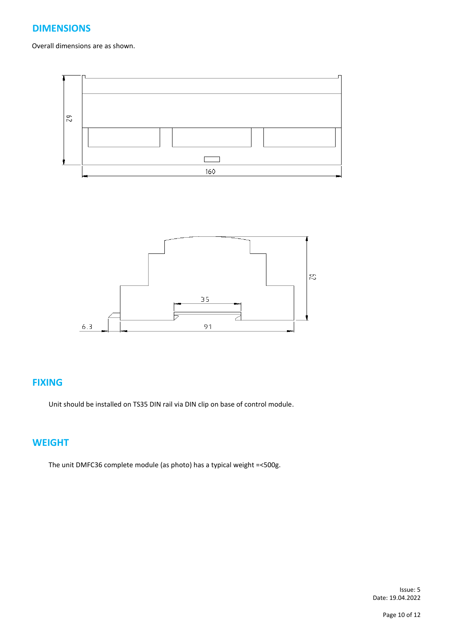### **DIMENSIONS**

Overall dimensions are as shown.





#### **FIXING**

Unit should be installed on TS35 DIN rail via DIN clip on base of control module.

#### **WEIGHT**

The unit DMFC36 complete module (as photo) has a typical weight =<500g.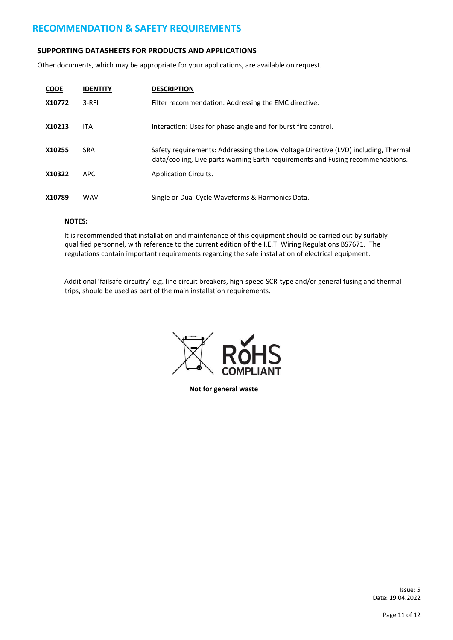#### **RECOMMENDATION & SAFETY REQUIREMENTS**

#### **SUPPORTING DATASHEETS FOR PRODUCTS AND APPLICATIONS**

Other documents, which may be appropriate for your applications, are available on request.

| <b>CODE</b> | <b>IDENTITY</b> | <b>DESCRIPTION</b>                                                                                                                                                    |
|-------------|-----------------|-----------------------------------------------------------------------------------------------------------------------------------------------------------------------|
| X10772      | 3-RFI           | Filter recommendation: Addressing the EMC directive.                                                                                                                  |
| X10213      | <b>ITA</b>      | Interaction: Uses for phase angle and for burst fire control.                                                                                                         |
| X10255      | <b>SRA</b>      | Safety requirements: Addressing the Low Voltage Directive (LVD) including, Thermal<br>data/cooling, Live parts warning Earth requirements and Fusing recommendations. |
| X10322      | APC.            | <b>Application Circuits.</b>                                                                                                                                          |
| X10789      | <b>WAV</b>      | Single or Dual Cycle Waveforms & Harmonics Data.                                                                                                                      |

#### **NOTES:**

It is recommended that installation and maintenance of this equipment should be carried out by suitably qualified personnel, with reference to the current edition of the I.E.T. Wiring Regulations BS7671. The regulations contain important requirements regarding the safe installation of electrical equipment.

Additional 'failsafe circuitry' e.g. line circuit breakers, high-speed SCR-type and/or general fusing and thermal trips, should be used as part of the main installation requirements.



**Not for general waste**

Issue: 5<br>Date: 19.04.2022 Date: 19.04.2022